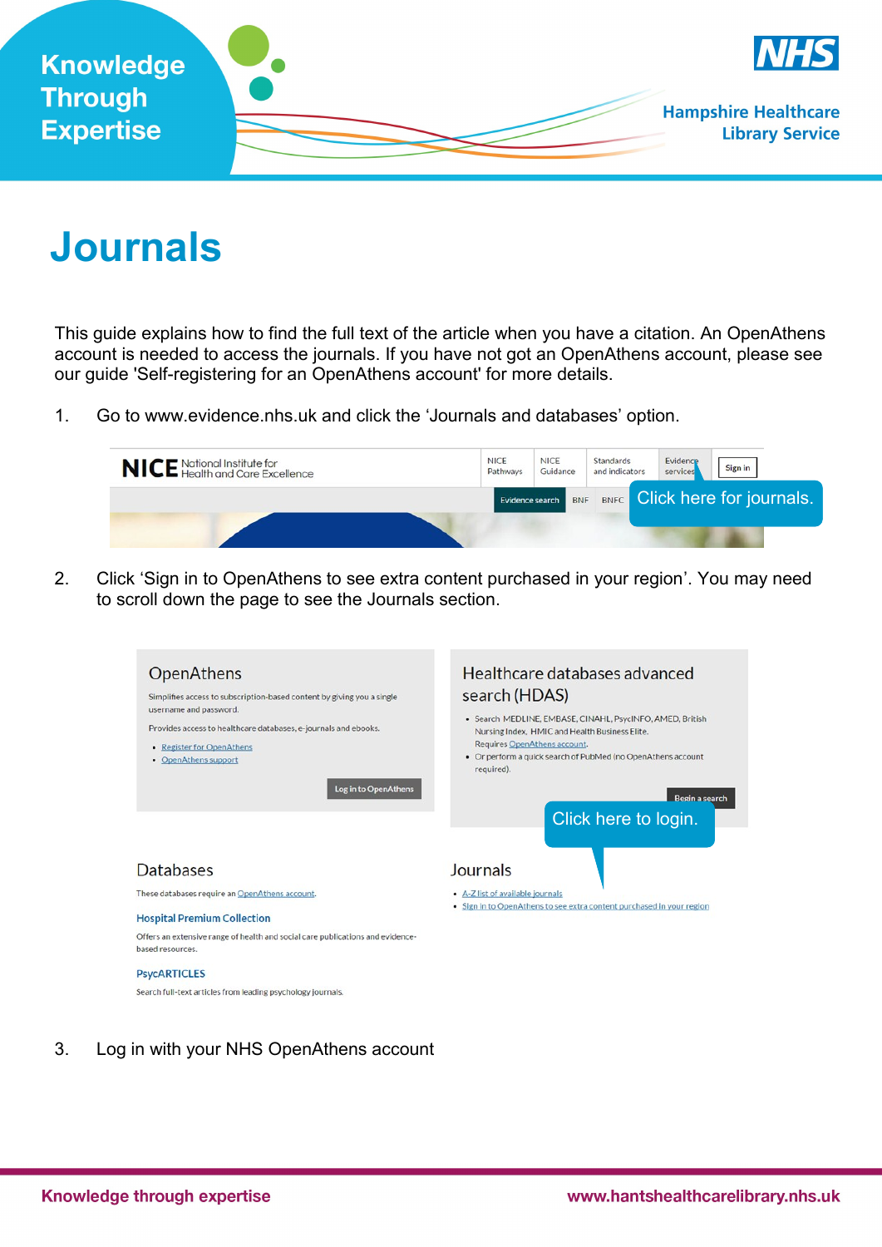

## **Journals**

This guide explains how to find the full text of the article when you have a citation. An OpenAthens account is needed to access the journals. If you have not got an OpenAthens account, please see our guide 'Self-registering for an OpenAthens account' for more details.

1. Go to www.evidence.nhs.uk and click the 'Journals and databases' option.



2. Click 'Sign in to OpenAthens to see extra content purchased in your region'. You may need to scroll down the page to see the Journals section.



3. Log in with your NHS OpenAthens account